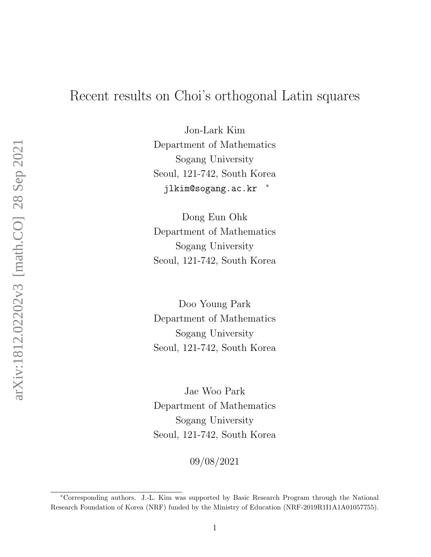# Recent results on Choi's orthogonal Latin squares

Jon-Lark Kim Department of Mathematics Sogang University Seoul, 121-742, South Korea jlkim@sogang.ac.kr \*

Dong Eun Ohk Department of Mathematics Sogang University Seoul, 121-742, South Korea

Doo Young Park Department of Mathematics Sogang University Seoul, 121-742, South Korea

Jae Woo Park Department of Mathematics Sogang University Seoul, 121-742, South Korea

09/08/2021

<sup>∗</sup>Corresponding authors. J.-L. Kim was supported by Basic Research Program through the National Research Foundation of Korea (NRF) funded by the Ministry of Education (NRF-2019R1I1A1A01057755).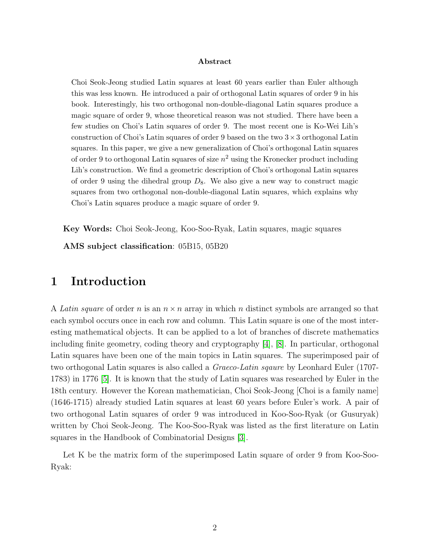#### Abstract

Choi Seok-Jeong studied Latin squares at least 60 years earlier than Euler although this was less known. He introduced a pair of orthogonal Latin squares of order 9 in his book. Interestingly, his two orthogonal non-double-diagonal Latin squares produce a magic square of order 9, whose theoretical reason was not studied. There have been a few studies on Choi's Latin squares of order 9. The most recent one is Ko-Wei Lih's construction of Choi's Latin squares of order 9 based on the two  $3 \times 3$  orthogonal Latin squares. In this paper, we give a new generalization of Choi's orthogonal Latin squares of order 9 to orthogonal Latin squares of size  $n^2$  using the Kronecker product including Lih's construction. We find a geometric description of Choi's orthogonal Latin squares of order 9 using the dihedral group  $D_8$ . We also give a new way to construct magic squares from two orthogonal non-double-diagonal Latin squares, which explains why Choi's Latin squares produce a magic square of order 9.

Key Words: Choi Seok-Jeong, Koo-Soo-Ryak, Latin squares, magic squares

AMS subject classification: 05B15, 05B20

# 1 Introduction

A Latin square of order n is an  $n \times n$  array in which n distinct symbols are arranged so that each symbol occurs once in each row and column. This Latin square is one of the most interesting mathematical objects. It can be applied to a lot of branches of discrete mathematics including finite geometry, coding theory and cryptography [\[4\]](#page-14-0), [\[8\]](#page-14-1). In particular, orthogonal Latin squares have been one of the main topics in Latin squares. The superimposed pair of two orthogonal Latin squares is also called a Graeco-Latin sqaure by Leonhard Euler (1707- 1783) in 1776 [\[5\]](#page-14-2). It is known that the study of Latin squares was researched by Euler in the 18th century. However the Korean mathematician, Choi Seok-Jeong [Choi is a family name] (1646-1715) already studied Latin squares at least 60 years before Euler's work. A pair of two orthogonal Latin squares of order 9 was introduced in Koo-Soo-Ryak (or Gusuryak) written by Choi Seok-Jeong. The Koo-Soo-Ryak was listed as the first literature on Latin squares in the Handbook of Combinatorial Designs [\[3\]](#page-14-3).

Let K be the matrix form of the superimposed Latin square of order 9 from Koo-Soo-Ryak: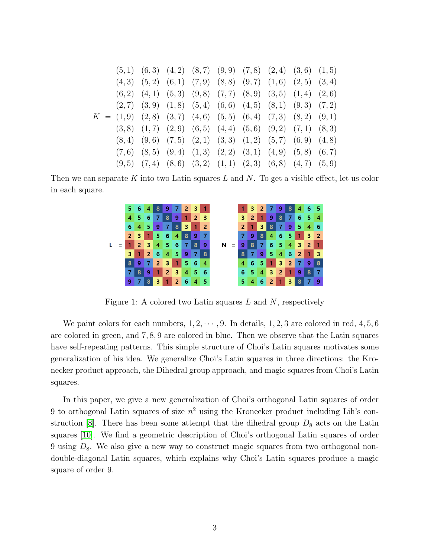$$
(5,1) (6,3) (4,2) (8,7) (9,9) (7,8) (2,4) (3,6) (1,5) (4,3) (5,2) (6,1) (7,9) (8,8) (9,7) (1,6) (2,5) (3,4) (6,2) (4,1) (5,3) (9,8) (7,7) (8,9) (3,5) (1,4) (2,6) (2,7) (3,9) (1,8) (5,4) (6,6) (4,5) (8,1) (9,3) (7,2) 
$$
K = (1,9) (2,8) (3,7) (4,6) (5,5) (6,4) (7,3) (8,2) (9,1) (3,8) (1,7) (2,9) (6,5) (4,4) (5,6) (9,2) (7,1) (8,3) (8,4) (9,6) (7,5) (2,1) (3,3) (1,2) (5,7) (6,9) (4,8) (7,6) (8,5) (9,4) (1,3) (2,2) (3,1) (4,9) (5,8) (6,7) (9,5) (7,4) (8,6) (3,2) (1,1) (2,3) (6,8) (4,7) (5,9)
$$
$$

Then we can separate K into two Latin squares L and N. To get a visible effect, let us color in each square.



Figure 1: A colored two Latin squares  $L$  and  $N$ , respectively

We paint colors for each numbers,  $1, 2, \dots, 9$ . In details,  $1, 2, 3$  are colored in red,  $4, 5, 6$ are colored in green, and 7, 8, 9 are colored in blue. Then we observe that the Latin squares have self-repeating patterns. This simple structure of Choi's Latin squares motivates some generalization of his idea. We generalize Choi's Latin squares in three directions: the Kronecker product approach, the Dihedral group approach, and magic squares from Choi's Latin squares.

In this paper, we give a new generalization of Choi's orthogonal Latin squares of order 9 to orthogonal Latin squares of size  $n^2$  using the Kronecker product including Lih's con-struction [\[8\]](#page-14-1). There has been some attempt that the dihedral group  $D_8$  acts on the Latin squares [\[10\]](#page-14-4). We find a geometric description of Choi's orthogonal Latin squares of order 9 using  $D_8$ . We also give a new way to construct magic squares from two orthogonal nondouble-diagonal Latin squares, which explains why Choi's Latin squares produce a magic square of order 9.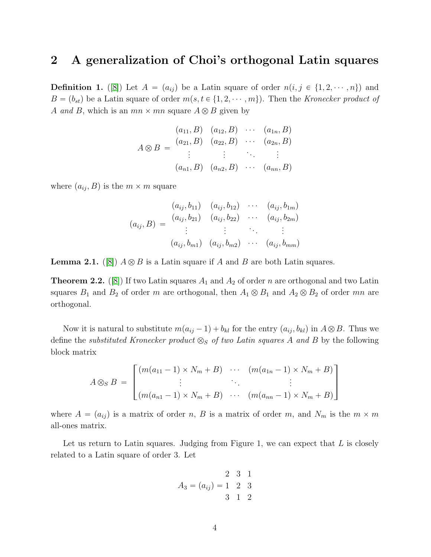# 2 A generalization of Choi's orthogonal Latin squares

**Definition 1.** ([\[8\]](#page-14-1)) Let  $A = (a_{ij})$  be a Latin square of order  $n(i, j \in \{1, 2, \dots, n\})$  and  $B = (b_{st})$  be a Latin square of order  $m(s, t \in \{1, 2, \dots, m\})$ . Then the Kronecker product of A and B, which is an  $mn \times mn$  square  $A \otimes B$  given by

$$
(a_{11}, B) (a_{12}, B) \cdots (a_{1n}, B)
$$
  

$$
A \otimes B = \begin{pmatrix} a_{21}, B) & (a_{22}, B) & \cdots & (a_{2n}, B) \\ \vdots & \vdots & \ddots & \vdots \\ (a_{n1}, B) & (a_{n2}, B) & \cdots & (a_{nn}, B) \end{pmatrix}
$$

where  $(a_{ij}, B)$  is the  $m \times m$  square

$$
(a_{ij}, b_{11}) \quad (a_{ij}, b_{12}) \quad \cdots \quad (a_{ij}, b_{1m})
$$

$$
(a_{ij}, B) = \begin{cases} (a_{ij}, b_{21}) & (a_{ij}, b_{22}) & \cdots & (a_{ij}, b_{2m}) \\ \vdots & \vdots & \ddots & \vdots \\ (a_{ij}, b_{m1}) & (a_{ij}, b_{m2}) & \cdots & (a_{ij}, b_{mm}) \end{cases}
$$

**Lemma 2.1.** ([\[8\]](#page-14-1))  $A \otimes B$  is a Latin square if A and B are both Latin squares.

<span id="page-3-0"></span>**Theorem 2.2.** ([\[8\]](#page-14-1)) If two Latin squares  $A_1$  and  $A_2$  of order n are orthogonal and two Latin squares  $B_1$  and  $B_2$  of order m are orthogonal, then  $A_1 \otimes B_1$  and  $A_2 \otimes B_2$  of order mn are orthogonal.

Now it is natural to substitute  $m(a_{ij} - 1) + b_{kl}$  for the entry  $(a_{ij}, b_{kl})$  in  $A \otimes B$ . Thus we define the substituted Kronecker product  $\otimes_S$  of two Latin squares A and B by the following block matrix

$$
A \otimes_{S} B = \begin{bmatrix} (m(a_{11}-1) \times N_m + B) & \cdots & (m(a_{1n}-1) \times N_m + B) \\ \vdots & \ddots & \vdots \\ (m(a_{n1}-1) \times N_m + B) & \cdots & (m(a_{nn}-1) \times N_m + B) \end{bmatrix}
$$

where  $A = (a_{ij})$  is a matrix of order n, B is a matrix of order m, and  $N_m$  is the  $m \times m$ all-ones matrix.

Let us return to Latin squares. Judging from Figure 1, we can expect that  $L$  is closely related to a Latin square of order 3. Let

$$
A_3 = (a_{ij}) = \begin{pmatrix} 2 & 3 & 1 \\ 1 & 2 & 3 \\ 3 & 1 & 2 \end{pmatrix}
$$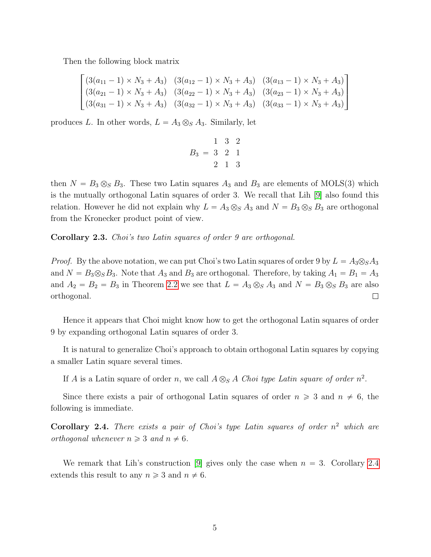Then the following block matrix

$$
\begin{bmatrix}\n(3(a_{11}-1) \times N_3 + A_3) & (3(a_{12}-1) \times N_3 + A_3) & (3(a_{13}-1) \times N_3 + A_3) \\
(3(a_{21}-1) \times N_3 + A_3) & (3(a_{22}-1) \times N_3 + A_3) & (3(a_{23}-1) \times N_3 + A_3) \\
(3(a_{31}-1) \times N_3 + A_3) & (3(a_{32}-1) \times N_3 + A_3) & (3(a_{33}-1) \times N_3 + A_3)\n\end{bmatrix}
$$

produces L. In other words,  $L = A_3 \otimes_S A_3$ . Similarly, let

$$
B_3 = \begin{bmatrix} 1 & 3 & 2 \\ 3 & 2 & 1 \\ 2 & 1 & 3 \end{bmatrix}
$$

then  $N = B_3 \otimes_S B_3$ . These two Latin squares  $A_3$  and  $B_3$  are elements of MOLS(3) which is the mutually orthogonal Latin squares of order 3. We recall that Lih [\[9\]](#page-14-5) also found this relation. However he did not explain why  $L = A_3 \otimes_S A_3$  and  $N = B_3 \otimes_S B_3$  are orthogonal from the Kronecker product point of view.

Corollary 2.3. Choi's two Latin squares of order 9 are orthogonal.

*Proof.* By the above notation, we can put Choi's two Latin squares of order 9 by  $L = A_3 \otimes_S A_3$ and  $N = B_3 \otimes_S B_3$ . Note that  $A_3$  and  $B_3$  are orthogonal. Therefore, by taking  $A_1 = B_1 = A_3$ and  $A_2 = B_2 = B_3$  in Theorem [2.2](#page-3-0) we see that  $L = A_3 \otimes_S A_3$  and  $N = B_3 \otimes_S B_3$  are also orthogonal.  $\Box$ 

Hence it appears that Choi might know how to get the orthogonal Latin squares of order 9 by expanding orthogonal Latin squares of order 3.

It is natural to generalize Choi's approach to obtain orthogonal Latin squares by copying a smaller Latin square several times.

If A is a Latin square of order n, we call  $A \otimes_{S} A$  Choi type Latin square of order  $n^2$ .

Since there exists a pair of orthogonal Latin squares of order  $n \geq 3$  and  $n \neq 6$ , the following is immediate.

<span id="page-4-0"></span>**Corollary 2.4.** There exists a pair of Choi's type Latin squares of order  $n^2$  which are orthogonal whenever  $n \geqslant 3$  and  $n \neq 6$ .

We remark that Lih's construction [\[9\]](#page-14-5) gives only the case when  $n = 3$ . Corollary [2.4](#page-4-0) extends this result to any  $n \geq 3$  and  $n \neq 6$ .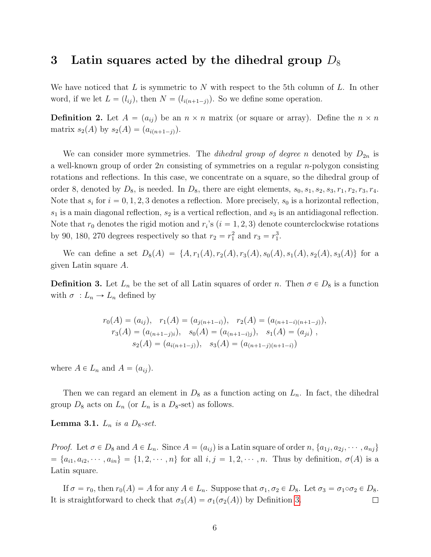### 3 Latin squares acted by the dihedral group  $D_8$

We have noticed that  $L$  is symmetric to  $N$  with respect to the 5th column of  $L$ . In other word, if we let  $L = (l_{ij})$ , then  $N = (l_{i(n+1-j)})$ . So we define some operation.

**Definition 2.** Let  $A = (a_{ij})$  be an  $n \times n$  matrix (or square or array). Define the  $n \times n$ matrix  $s_2(A)$  by  $s_2(A) = (a_{i(n+1-j)}).$ 

We can consider more symmetries. The *dihedral group of degree n* denoted by  $D_{2n}$  is a well-known group of order  $2n$  consisting of symmetries on a regular n-polygon consisting rotations and reflections. In this case, we concentrate on a square, so the dihedral group of order 8, denoted by  $D_8$ , is needed. In  $D_8$ , there are eight elements,  $s_0, s_1, s_2, s_3, r_1, r_2, r_3, r_4$ . Note that  $s_i$  for  $i = 0, 1, 2, 3$  denotes a reflection. More precisely,  $s_0$  is a horizontal reflection,  $s_1$  is a main diagonal reflection,  $s_2$  is a vertical reflection, and  $s_3$  is an antidiagonal reflection. Note that  $r_0$  denotes the rigid motion and  $r_i$ 's  $(i = 1, 2, 3)$  denote counterclockwise rotations by 90, 180, 270 degrees respectively so that  $r_2 = r_1^2$  and  $r_3 = r_1^3$ .

We can define a set  $D_8(A) = \{A, r_1(A), r_2(A), r_3(A), s_0(A), s_1(A), s_2(A), s_3(A)\}$  for a given Latin square A.

<span id="page-5-0"></span>**Definition 3.** Let  $L_n$  be the set of all Latin squares of order n. Then  $\sigma \in D_8$  is a function with  $\sigma : L_n \to L_n$  defined by

$$
r_0(A) = (a_{ij}), \quad r_1(A) = (a_{j(n+1-i)}), \quad r_2(A) = (a_{(n+1-i)(n+1-j)}),
$$

$$
r_3(A) = (a_{(n+1-j)i}), \quad s_0(A) = (a_{(n+1-i)j}), \quad s_1(A) = (a_{ji}),
$$

$$
s_2(A) = (a_{i(n+1-j)}), \quad s_3(A) = (a_{(n+1-j)(n+1-i)})
$$

where  $A \in L_n$  and  $A = (a_{ij}).$ 

Then we can regard an element in  $D_8$  as a function acting on  $L_n$ . In fact, the dihedral group  $D_8$  acts on  $L_n$  (or  $L_n$  is a  $D_8$ -set) as follows.

**Lemma 3.1.**  $L_n$  is a  $D_8$ -set.

*Proof.* Let  $\sigma \in D_8$  and  $A \in L_n$ . Since  $A = (a_{ij})$  is a Latin square of order n,  $\{a_{1j}, a_{2j}, \cdots, a_{nj}\}$  $t = \{a_{i1}, a_{i2}, \dots, a_{in}\} = \{1, 2, \dots, n\}$  for all  $i, j = 1, 2, \dots, n$ . Thus by definition,  $\sigma(A)$  is a Latin square.

If  $\sigma = r_0$ , then  $r_0(A) = A$  for any  $A \in L_n$ . Suppose that  $\sigma_1, \sigma_2 \in D_8$ . Let  $\sigma_3 = \sigma_1 \circ \sigma_2 \in D_8$ . It is straightforward to check that  $\sigma_3(A) = \sigma_1(\sigma_2(A))$  by Definition [3.](#page-5-0)  $\Box$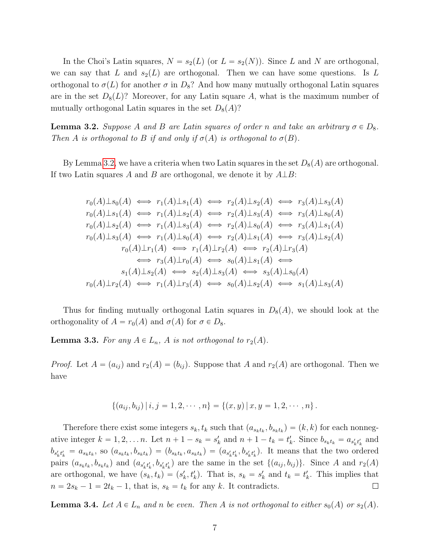In the Choi's Latin squares,  $N = s_2(L)$  (or  $L = s_2(N)$ ). Since L and N are orthogonal, we can say that L and  $s_2(L)$  are orthogonal. Then we can have some questions. Is L orthogonal to  $\sigma(L)$  for another  $\sigma$  in  $D_8$ ? And how many mutually orthogonal Latin squares are in the set  $D_8(L)$ ? Moreover, for any Latin square A, what is the maximum number of mutually orthogonal Latin squares in the set  $D_8(A)$ ?

<span id="page-6-0"></span>**Lemma 3.2.** Suppose A and B are Latin squares of order n and take an arbitrary  $\sigma \in D_8$ . Then A is orthogonal to B if and only if  $\sigma(A)$  is orthogonal to  $\sigma(B)$ .

By Lemma [3.2,](#page-6-0) we have a criteria when two Latin squares in the set  $D_8(A)$  are orthogonal. If two Latin squares A and B are orthogonal, we denote it by  $A \perp B$ :

$$
r_0(A) \perp s_0(A) \iff r_1(A) \perp s_1(A) \iff r_2(A) \perp s_2(A) \iff r_3(A) \perp s_3(A)
$$
  
\n
$$
r_0(A) \perp s_1(A) \iff r_1(A) \perp s_2(A) \iff r_2(A) \perp s_3(A) \iff r_3(A) \perp s_0(A)
$$
  
\n
$$
r_0(A) \perp s_2(A) \iff r_1(A) \perp s_3(A) \iff r_2(A) \perp s_0(A) \iff r_3(A) \perp s_1(A)
$$
  
\n
$$
r_0(A) \perp s_3(A) \iff r_1(A) \perp s_0(A) \iff r_2(A) \perp s_1(A) \iff r_3(A) \perp s_2(A)
$$
  
\n
$$
r_0(A) \perp r_1(A) \iff r_1(A) \perp r_2(A) \iff r_2(A) \perp r_3(A)
$$
  
\n
$$
\iff r_3(A) \perp r_0(A) \iff s_0(A) \perp s_1(A) \iff s_3(A) \perp s_0(A)
$$
  
\n
$$
r_0(A) \perp r_2(A) \iff r_1(A) \perp r_3(A) \iff s_0(A) \perp s_2(A) \iff s_1(A) \perp s_3(A)
$$
  
\n
$$
r_0(A) \perp r_2(A) \iff r_1(A) \perp r_3(A) \iff s_0(A) \perp s_2(A) \iff s_1(A) \perp s_3(A)
$$

Thus for finding mutually orthogonal Latin squares in  $D_8(A)$ , we should look at the orthogonality of  $A = r_0(A)$  and  $\sigma(A)$  for  $\sigma \in D_8$ .

<span id="page-6-1"></span>**Lemma 3.3.** For any  $A \in L_n$ , A is not orthogonal to  $r_2(A)$ .

*Proof.* Let  $A = (a_{ij})$  and  $r_2(A) = (b_{ij})$ . Suppose that A and  $r_2(A)$  are orthogonal. Then we have

$$
\{(a_{ij},b_{ij})\,|\,i,j=1,2,\cdots,n\}=\{(x,y)\,|\,x,y=1,2,\cdots,n\}\,.
$$

Therefore there exist some integers  $s_k, t_k$  such that  $(a_{s_k t_k}, b_{s_k t_k}) = (k, k)$  for each nonnegative integer  $k = 1, 2, \ldots n$ . Let  $n + 1 - s_k = s'_k$  and  $n + 1 - t_k = t'_k$ . Since  $b_{s_k t_k} = a_{s'_k t'_k}$  and  $b_{s'_k t'_k} = a_{s_k t_k}$ , so  $(a_{s_k t_k}, b_{s_k t_k}) = (b_{s_k t_k}, a_{s_k t_k}) = (a_{s'_k t'_k}, b_{s'_k t'_k})$ . It means that the two ordered pairs  $(a_{s_kt_k}, b_{s_kt_k})$  and  $(a_{s'_kt'_k}, b_{s'_kt'_k})$  are the same in the set  $\{(a_{ij}, b_{ij})\}$ . Since A and  $r_2(A)$ are orthogonal, we have  $(s_k, t_k) = (s'_k, t'_k)$ . That is,  $s_k = s'_k$  and  $t_k = t'_k$ . This implies that  $n = 2s_k - 1 = 2t_k - 1$ , that is,  $s_k = t_k$  for any k. It contradicts.  $\Box$ 

<span id="page-6-2"></span>**Lemma 3.4.** Let  $A \in L_n$  and n be even. Then A is not orthogonal to either  $s_0(A)$  or  $s_2(A)$ .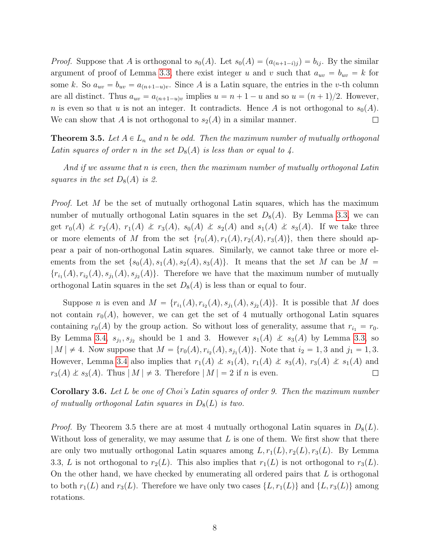*Proof.* Suppose that A is orthogonal to  $s_0(A)$ . Let  $s_0(A) = (a_{(n+1-i)j}) = b_{ij}$ . By the similar argument of proof of Lemma [3.3,](#page-6-1) there exist integer u and v such that  $a_{uv} = b_{uv} = k$  for some k. So  $a_{uv} = b_{uv} = a_{(n+1-u)v}$ . Since A is a Latin square, the entries in the v-th column are all distinct. Thus  $a_{uv} = a_{(n+1-u)v}$  implies  $u = n + 1 - u$  and so  $u = (n + 1)/2$ . However, n is even so that u is not an integer. It contradicts. Hence A is not orthogonal to  $s_0(A)$ . We can show that A is not orthogonal to  $s_2(A)$  in a similar manner.  $\Box$ 

**Theorem 3.5.** Let  $A \in L_n$  and n be odd. Then the maximum number of mutually orthogonal Latin squares of order n in the set  $D_8(A)$  is less than or equal to 4.

And if we assume that n is even, then the maximum number of mutually orthogonal Latin squares in the set  $D_8(A)$  is 2.

*Proof.* Let  $M$  be the set of mutually orthogonal Latin squares, which has the maximum number of mutually orthogonal Latin squares in the set  $D_8(A)$ . By Lemma [3.3,](#page-6-1) we can get  $r_0(A) \nleq r_2(A), r_1(A) \nleq r_3(A), s_0(A) \nleq s_2(A)$  and  $s_1(A) \nleq s_3(A)$ . If we take three or more elements of M from the set  $\{r_0(A), r_1(A), r_2(A), r_3(A)\}$ , then there should appear a pair of non-orthogonal Latin squares. Similarly, we cannot take three or more elements from the set  $\{s_0(A), s_1(A), s_2(A), s_3(A)\}$ . It means that the set M can be M =  ${r_{i_1}(A), r_{i_2}(A), s_{j_1}(A), s_{j_2}(A)}$ . Therefore we have that the maximum number of mutually orthogonal Latin squares in the set  $D_8(A)$  is less than or equal to four.

Suppose *n* is even and  $M = \{r_{i_1}(A), r_{i_2}(A), s_{j_1}(A), s_{j_2}(A)\}\$ . It is possible that M does not contain  $r_0(A)$ , however, we can get the set of 4 mutually orthogonal Latin squares containing  $r_0(A)$  by the group action. So without loss of generality, assume that  $r_{i_1} = r_0$ . By Lemma [3.4,](#page-6-2)  $s_{j_1}, s_{j_2}$  should be 1 and 3. However  $s_1(A) \not\perp s_3(A)$  by Lemma [3.3,](#page-6-1) so  $|M| \neq 4$ . Now suppose that  $M = \{r_0(A), r_{i_2}(A), s_{j_1}(A)\}\$ . Note that  $i_2 = 1, 3$  and  $j_1 = 1, 3$ . However, Lemma [3.4](#page-6-2) also implies that  $r_1(A) \nleq s_1(A), r_1(A) \nleq s_3(A), r_3(A) \nleq s_1(A)$  and  $r_3(A) \nleq s_3(A)$ . Thus  $|M| \neq 3$ . Therefore  $|M| = 2$  if n is even.  $\Box$ 

Corollary 3.6. Let L be one of Choi's Latin squares of order 9. Then the maximum number of mutually orthogonal Latin squares in  $D_8(L)$  is two.

*Proof.* By Theorem 3.5 there are at most 4 mutually orthogonal Latin squares in  $D_8(L)$ . Without loss of generality, we may assume that  $L$  is one of them. We first show that there are only two mutually orthogonal Latin squares among  $L, r_1(L), r_2(L), r_3(L)$ . By Lemma 3.3, L is not orthogonal to  $r_2(L)$ . This also implies that  $r_1(L)$  is not orthogonal to  $r_3(L)$ . On the other hand, we have checked by enumerating all ordered pairs that  $L$  is orthogonal to both  $r_1(L)$  and  $r_3(L)$ . Therefore we have only two cases  $\{L, r_1(L)\}\$  and  $\{L, r_3(L)\}\$  among rotations.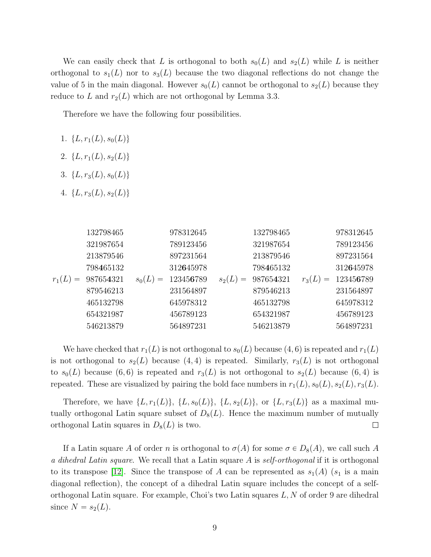We can easily check that L is orthogonal to both  $s_0(L)$  and  $s_2(L)$  while L is neither orthogonal to  $s_1(L)$  nor to  $s_3(L)$  because the two diagonal reflections do not change the value of 5 in the main diagonal. However  $s_0(L)$  cannot be orthogonal to  $s_2(L)$  because they reduce to L and  $r_2(L)$  which are not orthogonal by Lemma 3.3.

Therefore we have the following four possibilities.

- 1.  $\{L, r_1(L), s_0(L)\}\$
- 2.  ${L, r_1(L), s_2(L)}$
- 3.  ${L, r_3(L), s_0(L)}$
- 4.  ${L, r_3(L), s_2(L)}$

|          | 132798465 | 978312645 |                 | 132798465 |          | 978312645 |
|----------|-----------|-----------|-----------------|-----------|----------|-----------|
|          | 321987654 | 789123456 |                 | 321987654 |          | 789123456 |
|          | 213879546 | 897231564 |                 | 213879546 |          | 897231564 |
|          | 798465132 | 312645978 |                 | 798465132 |          | 312645978 |
| $r_1(L)$ | 987654321 | 123456789 | $s_2(L)$<br>$=$ | 987654321 | $r_3(L)$ | 123456789 |
|          | 879546213 | 231564897 |                 | 879546213 |          | 231564897 |
|          | 465132798 | 645978312 |                 | 465132798 |          | 645978312 |
|          | 654321987 | 456789123 |                 | 654321987 |          | 456789123 |
|          | 546213879 | 564897231 |                 | 546213879 |          | 564897231 |

We have checked that  $r_1(L)$  is not orthogonal to  $s_0(L)$  because  $(4, 6)$  is repeated and  $r_1(L)$ is not orthogonal to  $s_2(L)$  because  $(4, 4)$  is repeated. Similarly,  $r_3(L)$  is not orthogonal to  $s_0(L)$  because (6, 6) is repeated and  $r_3(L)$  is not orthogonal to  $s_2(L)$  because (6, 4) is repeated. These are visualized by pairing the bold face numbers in  $r_1(L), s_0(L), s_2(L), r_3(L)$ .

Therefore, we have  $\{L, r_1(L)\}, \{L, s_0(L)\}, \{L, s_2(L)\}, \text{ or } \{L, r_3(L)\} \text{ as a maximal mu-}$ tually orthogonal Latin square subset of  $D_8(L)$ . Hence the maximum number of mutually orthogonal Latin squares in  $D_8(L)$  is two.  $\Box$ 

If a Latin square A of order n is orthogonal to  $\sigma(A)$  for some  $\sigma \in D_8(A)$ , we call such A a dihedral Latin square. We recall that a Latin square A is self-orthogonal if it is orthogonal to its transpose [\[12\]](#page-15-0). Since the transpose of A can be represented as  $s_1(A)$  ( $s_1$  is a main diagonal reflection), the concept of a dihedral Latin square includes the concept of a selforthogonal Latin square. For example, Choi's two Latin squares  $L, N$  of order 9 are dihedral since  $N = s_2(L)$ .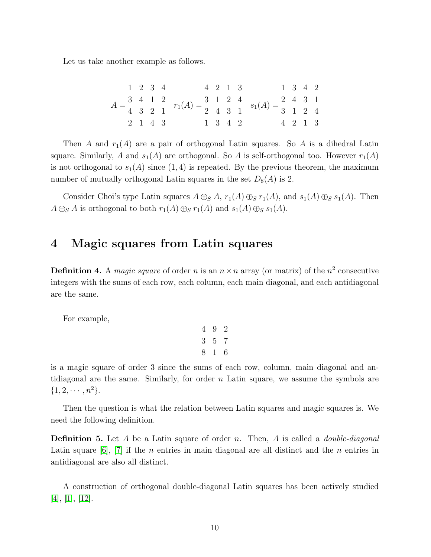Let us take another example as follows.

|  | 1 2 3 4 |         |                                                                                                                                                                                                                    | 4 2 1 3 |  | 1 3 4 2                  |  |
|--|---------|---------|--------------------------------------------------------------------------------------------------------------------------------------------------------------------------------------------------------------------|---------|--|--------------------------|--|
|  |         |         | $A = \begin{pmatrix} 3 & 4 & 1 & 2 \\ 4 & 3 & 2 & 1 \end{pmatrix}$ $r_1(A) = \begin{pmatrix} 3 & 1 & 2 & 4 \\ 2 & 4 & 3 & 1 \end{pmatrix}$ $s_1(A) = \begin{pmatrix} 2 & 4 & 3 & 1 \\ 3 & 1 & 2 & 4 \end{pmatrix}$ |         |  |                          |  |
|  |         |         |                                                                                                                                                                                                                    |         |  |                          |  |
|  |         | 2 1 4 3 |                                                                                                                                                                                                                    | 1 3 4 2 |  | $4\quad 2\quad 1\quad 3$ |  |

Then A and  $r_1(A)$  are a pair of orthogonal Latin squares. So A is a dihedral Latin square. Similarly, A and  $s_1(A)$  are orthogonal. So A is self-orthogonal too. However  $r_1(A)$ is not orthogonal to  $s_1(A)$  since  $(1, 4)$  is repeated. By the previous theorem, the maximum number of mutually orthogonal Latin squares in the set  $D_8(A)$  is 2.

Consider Choi's type Latin squares  $A \oplus_S A$ ,  $r_1(A) \oplus_S r_1(A)$ , and  $s_1(A) \oplus_S s_1(A)$ . Then  $A \oplus_{S} A$  is orthogonal to both  $r_1(A) \oplus_{S} r_1(A)$  and  $s_1(A) \oplus_{S} s_1(A)$ .

#### 4 Magic squares from Latin squares

**Definition 4.** A magic square of order n is an  $n \times n$  array (or matrix) of the  $n^2$  consecutive integers with the sums of each row, each column, each main diagonal, and each antidiagonal are the same.

For example,

$$
\begin{array}{ccccc}\n4 & 9 & 2 \\
3 & 5 & 7 \\
8 & 1 & 6\n\end{array}
$$

is a magic square of order 3 since the sums of each row, column, main diagonal and antidiagonal are the same. Similarly, for order  $n$  Latin square, we assume the symbols are  $\{1, 2, \cdots, n^2\}.$ 

Then the question is what the relation between Latin squares and magic squares is. We need the following definition.

**Definition 5.** Let A be a Latin square of order n. Then, A is called a *double-diagonal* Latin square  $[6]$ ,  $[7]$  if the *n* entries in main diagonal are all distinct and the *n* entries in antidiagonal are also all distinct.

A construction of orthogonal double-diagonal Latin squares has been actively studied [\[4\]](#page-14-0), [\[1\]](#page-14-8), [\[12\]](#page-15-0).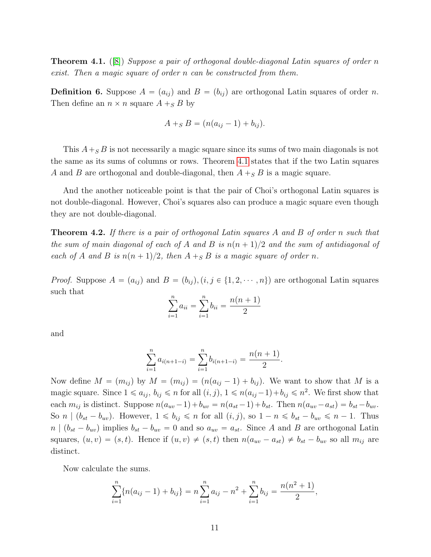<span id="page-10-0"></span>**Theorem 4.1.** ([\[8\]](#page-14-1)) Suppose a pair of orthogonal double-diagonal Latin squares of order n exist. Then a magic square of order n can be constructed from them.

**Definition 6.** Suppose  $A = (a_{ij})$  and  $B = (b_{ij})$  are orthogonal Latin squares of order n. Then define an  $n \times n$  square  $A +_S B$  by

$$
A +_{S} B = (n(a_{ij} - 1) + b_{ij}).
$$

This  $A +_{S} B$  is not necessarily a magic square since its sums of two main diagonals is not the same as its sums of columns or rows. Theorem [4.1](#page-10-0) states that if the two Latin squares A and B are orthogonal and double-diagonal, then  $A +_{S} B$  is a magic square.

And the another noticeable point is that the pair of Choi's orthogonal Latin squares is not double-diagonal. However, Choi's squares also can produce a magic square even though they are not double-diagonal.

<span id="page-10-1"></span>Theorem 4.2. If there is a pair of orthogonal Latin squares A and B of order n such that the sum of main diagonal of each of A and B is  $n(n + 1)/2$  and the sum of antidiagonal of each of A and B is  $n(n + 1)/2$ , then  $A +_S B$  is a magic square of order n.

*Proof.* Suppose  $A = (a_{ij})$  and  $B = (b_{ij}), (i, j \in \{1, 2, \dots, n\})$  are orthogonal Latin squares such that  $\boldsymbol{n}$  $\boldsymbol{n}$ 

$$
\sum_{i=1}^{n} a_{ii} = \sum_{i=1}^{n} b_{ii} = \frac{n(n+1)}{2}
$$

and

$$
\sum_{i=1}^{n} a_{i(n+1-i)} = \sum_{i=1}^{n} b_{i(n+1-i)} = \frac{n(n+1)}{2}.
$$

Now define  $M = (m_{ij})$  by  $M = (m_{ij}) = (n(a_{ij} - 1) + b_{ij})$ . We want to show that M is a magic square. Since  $1 \leq a_{ij}$ ,  $b_{ij} \leq n$  for all  $(i, j)$ ,  $1 \leq n(a_{ij} - 1) + b_{ij} \leq n^2$ . We first show that each  $m_{ij}$  is distinct. Suppose  $n(a_{uv} - 1) + b_{uv} = n(a_{st} - 1) + b_{st}$ . Then  $n(a_{uv} - a_{st}) = b_{st} - b_{uv}$ . So  $n \mid (b_{st} - b_{uv})$ . However,  $1 \leq b_{ij} \leq n$  for all  $(i, j)$ , so  $1 - n \leq b_{st} - b_{uv} \leq n - 1$ . Thus  $n | (b_{st} - b_{uv})$  implies  $b_{st} - b_{uv} = 0$  and so  $a_{uv} = a_{st}$ . Since A and B are orthogonal Latin squares,  $(u, v) = (s, t)$ . Hence if  $(u, v) \neq (s, t)$  then  $n(a_{uv} - a_{st}) \neq b_{st} - b_{uv}$  so all  $m_{ij}$  are distinct.

Now calculate the sums.

$$
\sum_{i=1}^{n} \{n(a_{ij}-1)+b_{ij}\}=n\sum_{i=1}^{n} a_{ij}-n^{2}+\sum_{i=1}^{n} b_{ij}=\frac{n(n^{2}+1)}{2},
$$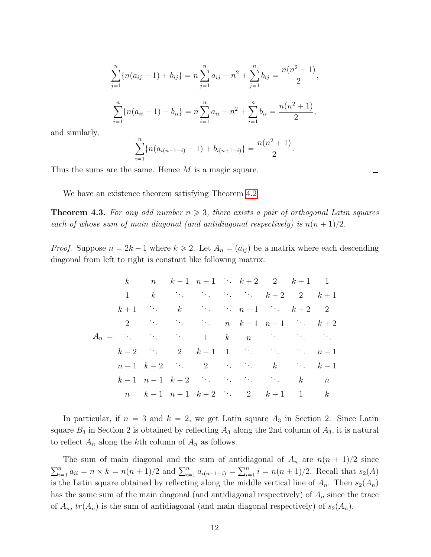$$
\sum_{j=1}^{n} \{n(a_{ij} - 1) + b_{ij}\} = n \sum_{j=1}^{n} a_{ij} - n^2 + \sum_{j=1}^{n} b_{ij} = \frac{n(n^2 + 1)}{2},
$$
  

$$
\sum_{i=1}^{n} \{n(a_{ii} - 1) + b_{ii}\} = n \sum_{i=1}^{n} a_{ii} - n^2 + \sum_{i=1}^{n} b_{ii} = \frac{n(n^2 + 1)}{2},
$$

and similarly,

$$
\sum_{i=1}^{n} \{n(a_{i(n+1-i)} - 1) + b_{i(n+1-i)}\} = \frac{n(n^2 + 1)}{2}.
$$

Thus the sums are the same. Hence M is a magic square.

We have an existence theorem satisfying Theorem [4.2.](#page-10-1)

<span id="page-11-0"></span>**Theorem 4.3.** For any odd number  $n \geq 3$ , there exists a pair of orthogonal Latin squares each of whose sum of main diagonal (and antidiagonal respectively) is  $n(n + 1)/2$ .

*Proof.* Suppose  $n = 2k - 1$  where  $k \ge 2$ . Let  $A_n = (a_{ij})$  be a matrix where each descending diagonal from left to right is constant like following matrix:

A<sup>n</sup> " k n k ´ 1 n ´ 1 . . . k ` 2 2 k ` 1 1 1 k . . . . . . . . . . . . k ` 2 2 k ` 1 k ` 1 . . . k . . . . . . n ´ 1 . . . k ` 2 2 2 . . . . . . . . . n k ´ 1 n ´ 1 . . . k ` 2 . . . . . . . . . <sup>1</sup> k n . . . . . . . . . k ´ 2 . . . <sup>2</sup> <sup>k</sup> ` 1 1 . . . . . . . . . n ´ 1 n ´ 1 k ´ 2 . . . 2 . . . . . . k . . . k ´ 1 k ´ 1 n ´ 1 k ´ 2 . . . . . . . . . . . . k n n k ´ 1 n ´ 1 k ´ 2 . . . 2 k ` 1 1 k

In particular, if  $n = 3$  and  $k = 2$ , we get Latin square  $A_3$  in Section 2. Since Latin square  $B_3$  in Section 2 is obtained by reflecting  $A_3$  along the 2nd column of  $A_3$ , it is natural to reflect  $A_n$  along the kth column of  $A_n$  as follows.

The sum of main diagonal and the sum of antidiagonal of  $A_n$  are  $n(n + 1)/2$  since  $\sum_{n=1}^{\infty}$ The sum of main diagonal and the sum of an  $\sum_{i=1}^{n} a_{ii} = n \times k = n(n+1)/2$  and  $\sum_{i=1}^{n} a_{i(n+1-i)} =$  $\frac{1}{\nabla^n}$  $i = n(n + 1)/2$ . Recall that  $s_2(A)$ is the Latin square obtained by reflecting along the middle vertical line of  $A_n$ . Then  $s_2(A_n)$ has the same sum of the main diagonal (and antidiagonal respectively) of  $A_n$  since the trace of  $A_n$ ,  $tr(A_n)$  is the sum of antidiagonal (and main diagonal respectively) of  $s_2(A_n)$ .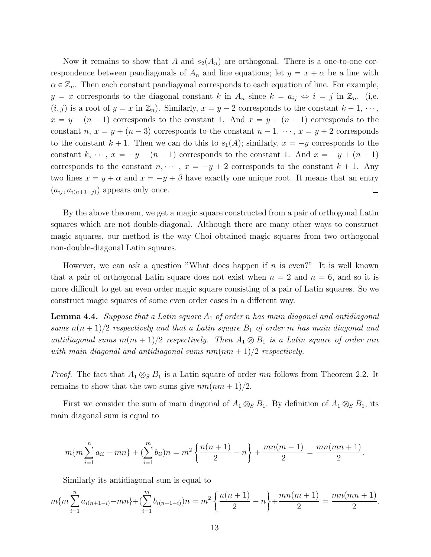Now it remains to show that A and  $s_2(A_n)$  are orthogonal. There is a one-to-one correspondence between pandiagonals of  $A_n$  and line equations; let  $y = x + \alpha$  be a line with  $\alpha \in \mathbb{Z}_n$ . Then each constant pandiagonal corresponds to each equation of line. For example,  $y = x$  corresponds to the diagonal constant k in  $A_n$  since  $k = a_{ij} \Leftrightarrow i = j$  in  $\mathbb{Z}_n$ . (i,e.  $(i, j)$  is a root of  $y = x$  in  $\mathbb{Z}_n$ ). Similarly,  $x = y - 2$  corresponds to the constant  $k - 1, \dots,$  $x = y - (n - 1)$  corresponds to the constant 1. And  $x = y + (n - 1)$  corresponds to the constant n,  $x = y + (n - 3)$  corresponds to the constant  $n - 1, \dots, x = y + 2$  corresponds to the constant  $k + 1$ . Then we can do this to  $s_1(A)$ ; similarly,  $x = -y$  corresponds to the constant k,  $\cdots$ ,  $x = -y - (n - 1)$  corresponds to the constant 1. And  $x = -y + (n - 1)$ corresponds to the constant  $n, \dots, x = -y + 2$  corresponds to the constant  $k + 1$ . Any two lines  $x = y + \alpha$  and  $x = -y + \beta$  have exactly one unique root. It means that an entry  $(a_{ij}, a_{i(n+1-j)})$  appears only once.  $\Box$ 

By the above theorem, we get a magic square constructed from a pair of orthogonal Latin squares which are not double-diagonal. Although there are many other ways to construct magic squares, our method is the way Choi obtained magic squares from two orthogonal non-double-diagonal Latin squares.

However, we can ask a question "What does happen if  $n$  is even?" It is well known that a pair of orthogonal Latin square does not exist when  $n = 2$  and  $n = 6$ , and so it is more difficult to get an even order magic square consisting of a pair of Latin squares. So we construct magic squares of some even order cases in a different way.

**Lemma 4.4.** Suppose that a Latin square  $A_1$  of order n has main diagonal and antidiagonal sums  $n(n+1)/2$  respectively and that a Latin square  $B_1$  of order m has main diagonal and antidiagonal sums  $m(m + 1)/2$  respectively. Then  $A_1 \otimes B_1$  is a Latin square of order mn with main diagonal and antidiagonal sums  $nm(nm + 1)/2$  respectively.

*Proof.* The fact that  $A_1 \otimes_S B_1$  is a Latin square of order mn follows from Theorem 2.2. It remains to show that the two sums give  $nm(nm + 1)/2$ .

First we consider the sum of main diagonal of  $A_1 \otimes_S B_1$ . By definition of  $A_1 \otimes_S B_1$ , its main diagonal sum is equal to

$$
m\{m\sum_{i=1}^{n}a_{ii}-mn\}+(\sum_{i=1}^{m}b_{ii})n=m^{2}\left\{\frac{n(n+1)}{2}-n\right\}+\frac{mn(m+1)}{2}=\frac{mn(mn+1)}{2}.
$$

Similarly its antidiagonal sum is equal to

$$
m\{m\sum_{i=1}^{n}a_{i(n+1-i)}-mn\}+(\sum_{i=1}^{m}b_{i(n+1-i)})n=m^{2}\left\{\frac{n(n+1)}{2}-n\right\}+\frac{mn(m+1)}{2}=\frac{mn(mn+1)}{2}.
$$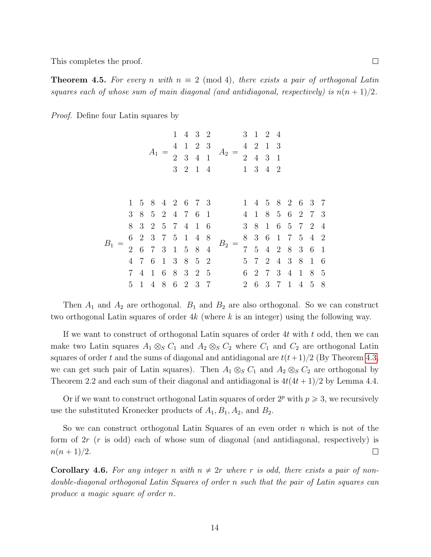This completes the proof.

**Theorem 4.5.** For every n with  $n \equiv 2 \pmod{4}$ , there exists a pair of orthogonal Latin squares each of whose sum of main diagonal (and antidiagonal, respectively) is  $n(n + 1)/2$ .

Proof. Define four Latin squares by

|         |                |              | $A_1 =$         | $\mathbf{1}$<br>4 | $\mathbf{1}$<br>$2 \quad 3 \quad 4 \quad 1$ | 2 3 | 4 3 2<br>$A_2 = \begin{pmatrix} 4 & 2 & 1 \\ 2 & 4 & 3 \end{pmatrix}$<br>3 2 1 4 1 3 4 2 |   | 3 1 2 4<br>2 4 3 1 | -3 |  |                                                      |  |
|---------|----------------|--------------|-----------------|-------------------|---------------------------------------------|-----|------------------------------------------------------------------------------------------|---|--------------------|----|--|------------------------------------------------------|--|
|         |                |              |                 |                   |                                             |     |                                                                                          |   |                    |    |  |                                                      |  |
|         |                |              | 1 5 8 4 2 6 7 3 |                   |                                             |     | 1 4 5 8 2 6 3 7                                                                          |   |                    |    |  |                                                      |  |
| $B_{1}$ |                |              | 3 8 5 2 4 7 6 1 |                   |                                             |     | 4 1 8 5 6 2 7 3                                                                          |   |                    |    |  |                                                      |  |
|         | 8              |              | 3 2 5 7 4 1 6   |                   |                                             |     |                                                                                          |   |                    |    |  | 3 8 1 6 5 7 2 4                                      |  |
|         |                |              | 6 2 3 7 5 1 4 8 |                   |                                             |     |                                                                                          |   |                    |    |  | 8 3 6 1 7 5 4 2                                      |  |
|         |                |              | 2 6 7 3 1 5 8 4 |                   |                                             |     | $B_2 =$                                                                                  |   |                    |    |  | $7\quad 5\quad 4\quad 2\quad 8\quad 3\quad 6\quad 1$ |  |
|         | $\overline{4}$ |              | 7 6             |                   | 1 3 8 5 2                                   |     |                                                                                          |   |                    |    |  | 5 7 2 4 3 8 1 6                                      |  |
|         |                |              | 7 4 1 6         |                   | 8 3 2 5                                     |     |                                                                                          |   |                    |    |  | 6 2 7 3 4 1 8 5                                      |  |
|         | $5^{\circ}$    | $\mathbf{1}$ | $\overline{4}$  |                   | 8 6 2 3 7                                   |     | $\overline{2}$                                                                           | 6 | 3 7                |    |  | 1 4 5 8                                              |  |

Then  $A_1$  and  $A_2$  are orthogonal.  $B_1$  and  $B_2$  are also orthogonal. So we can construct two orthogonal Latin squares of order 4k (where k is an integer) using the following way.

If we want to construct of orthogonal Latin squares of order  $4t$  with  $t$  odd, then we can make two Latin squares  $A_1 \otimes_S C_1$  and  $A_2 \otimes_S C_2$  where  $C_1$  and  $C_2$  are orthogonal Latin squares of order t and the sums of diagonal and antidiagonal are  $t(t+1)/2$  (By Theorem [4.3,](#page-11-0) we can get such pair of Latin squares). Then  $A_1 \otimes_S C_1$  and  $A_2 \otimes_S C_2$  are orthogonal by Theorem 2.2 and each sum of their diagonal and antidiagonal is  $4t(4t + 1)/2$  by Lemma 4.4.

Or if we want to construct orthogonal Latin squares of order  $2^p$  with  $p \ge 3$ , we recursively use the substituted Kronecker products of  $A_1, B_1, A_2$ , and  $B_2$ .

So we can construct orthogonal Latin Squares of an even order  $n$  which is not of the form of 2r (r is odd) each of whose sum of diagonal (and antidiagonal, respectively) is  $n(n+1)/2$ .  $\Box$ 

**Corollary 4.6.** For any integer n with  $n \neq 2r$  where r is odd, there exists a pair of nondouble-diagonal orthogonal Latin Squares of order n such that the pair of Latin squares can produce a magic square of order n.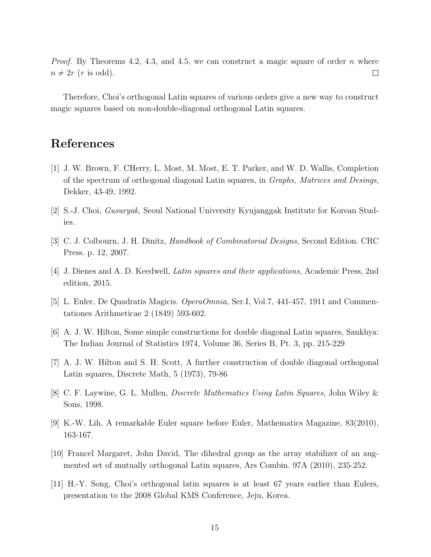*Proof.* By Theorems 4.2, 4.3, and 4.5, we can construct a magic square of order n where  $n \neq 2r$  (*r* is odd).  $\Box$ 

Therefore, Choi's orthogonal Latin squares of various orders give a new way to construct magic squares based on non-double-diagonal orthogonal Latin squares.

# References

- <span id="page-14-8"></span>[1] J. W. Brown, F. CHerry, L. Most, M. Most, E. T. Parker, and W. D. Wallis, Completion of the spectrum of orthogonal diagonal Latin squares, in Graphs, Matrices and Desings, Dekker, 43-49, 1992.
- [2] S.-J. Choi, Gusuryak, Seoul National University Kyujanggak Institute for Korean Studies.
- <span id="page-14-3"></span>[3] C. J. Colbourn, J. H. Dinitz, Handbook of Combinatorial Designs, Second Edition. CRC Press. p. 12, 2007.
- <span id="page-14-0"></span>[4] J. Dienes and A. D. Keedwell, Latin squares and their applications, Academic Press, 2nd edition, 2015.
- <span id="page-14-2"></span>[5] L. Euler, De Quadratis Magicis. OperaOmnia, Ser.I, Vol.7, 441-457, 1911 and Commentationes Arithmeticae 2 (1849) 593-602.
- <span id="page-14-6"></span>[6] A. J. W. Hilton, Some simple constructions for double diagonal Latin squares, Sankhya: The Indian Journal of Statistics 1974, Volume 36, Series B, Pt. 3, pp. 215-229
- <span id="page-14-7"></span>[7] A. J. W. Hilton and S. H. Scott, A further construction of double diagonal orthogonal Latin squares, Discrete Math, 5 (1973), 79-86
- <span id="page-14-1"></span>[8] C. F. Laywine, G. L. Mullen, Discrete Mathematics Using Latin Squares, John Wiley & Sons, 1998.
- <span id="page-14-5"></span>[9] K.-W. Lih, A remarkable Euler square before Euler, Mathematics Magazine, 83(2010), 163-167.
- <span id="page-14-4"></span>[10] Francel Margaret, John David, The dihedral group as the array stabilizer of an augmented set of mutually orthogonal Latin squares, Ars Combin. 97A (2010), 235-252.
- [11] H.-Y. Song, Choi's orthogonal latin squares is at least 67 years earlier than Eulers, presentation to the 2008 Global KMS Conference, Jeju, Korea.